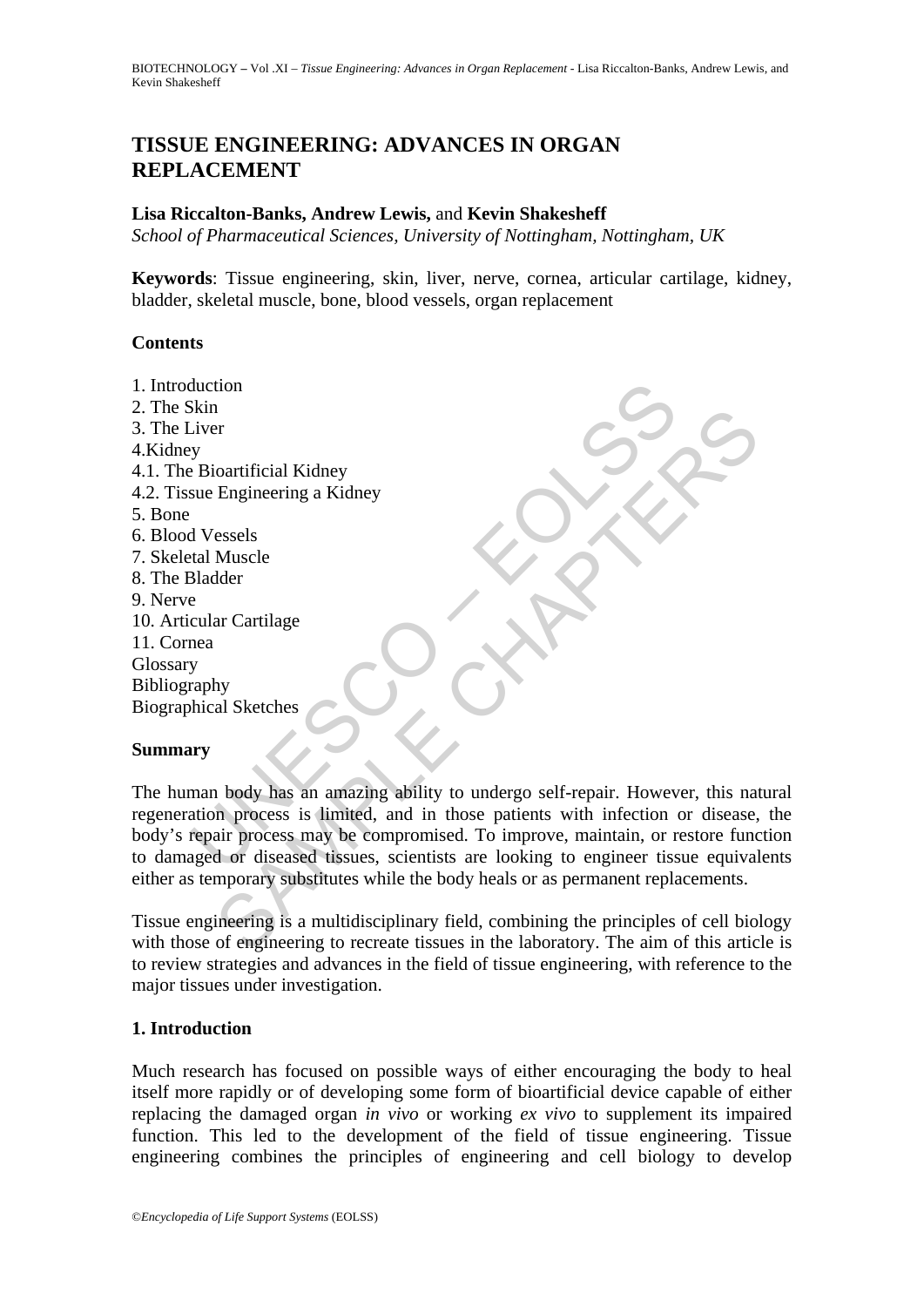# **TISSUE ENGINEERING: ADVANCES IN ORGAN REPLACEMENT**

#### **Lisa Riccalton-Banks, Andrew Lewis,** and **Kevin Shakesheff**

*School of Pharmaceutical Sciences, University of Nottingham, Nottingham, UK* 

**Keywords**: Tissue engineering, skin, liver, nerve, cornea, articular cartilage, kidney, bladder, skeletal muscle, bone, blood vessels, organ replacement

#### **Contents**

duction<br>
Next<br>
Next<br>
Skin Pierre Bioartificial Kidney<br>
Sue Engineering a Kidney<br>
Sue Engineering a Kidney<br>
Parabdor<br>
Bladder<br>
e<br>
e cular Cartilage<br>
Paraby<br>
Araphy<br>
paraby<br>
paraby<br>
paraby<br>
man body has an amazing ability to The contrificial Kidney<br>
Engineering a Kidney<br>
Engineering a Kidney<br>
Sessels<br>
Muscle<br>
Muscle<br>
Muscle<br>
All Sketches<br>
Sample, and in these painting ability to undergo self-repair. However, this na<br>
an process is limited, and 1. Introduction 2. The Skin 3. The Liver 4.Kidney 4.1. The Bioartificial Kidney 4.2. Tissue Engineering a Kidney 5. Bone 6. Blood Vessels 7. Skeletal Muscle 8. The Bladder 9. Nerve 10. Articular Cartilage 11. Cornea Glossary Bibliography Biographical Sketches **Summary** 

The human body has an amazing ability to undergo self-repair. However, this natural regeneration process is limited, and in those patients with infection or disease, the body's repair process may be compromised. To improve, maintain, or restore function to damaged or diseased tissues, scientists are looking to engineer tissue equivalents either as temporary substitutes while the body heals or as permanent replacements.

Tissue engineering is a multidisciplinary field, combining the principles of cell biology with those of engineering to recreate tissues in the laboratory. The aim of this article is to review strategies and advances in the field of tissue engineering, with reference to the major tissues under investigation.

## **1. Introduction**

Much research has focused on possible ways of either encouraging the body to heal itself more rapidly or of developing some form of bioartificial device capable of either replacing the damaged organ *in vivo* or working *ex vivo* to supplement its impaired function. This led to the development of the field of tissue engineering. Tissue engineering combines the principles of engineering and cell biology to develop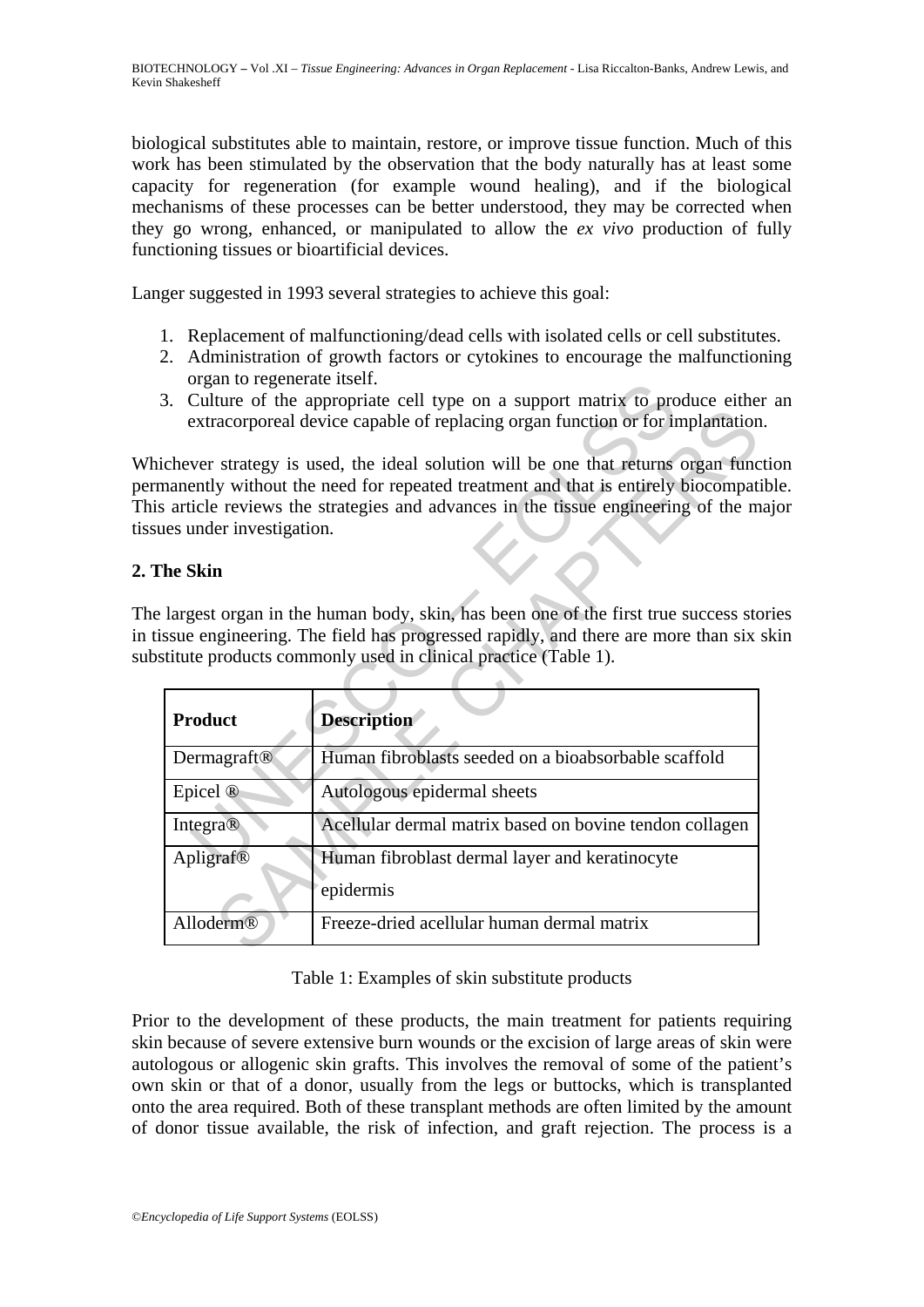biological substitutes able to maintain, restore, or improve tissue function. Much of this work has been stimulated by the observation that the body naturally has at least some capacity for regeneration (for example wound healing), and if the biological mechanisms of these processes can be better understood, they may be corrected when they go wrong, enhanced, or manipulated to allow the *ex vivo* production of fully functioning tissues or bioartificial devices.

Langer suggested in 1993 several strategies to achieve this goal:

- 1. Replacement of malfunctioning/dead cells with isolated cells or cell substitutes.
- 2. Administration of growth factors or cytokines to encourage the malfunctioning organ to regenerate itself.
- 3. Culture of the appropriate cell type on a support matrix to produce either an extracorporeal device capable of replacing organ function or for implantation.

Whichever strategy is used, the ideal solution will be one that returns organ function permanently without the need for repeated treatment and that is entirely biocompatible. This article reviews the strategies and advances in the tissue engineering of the major tissues under investigation.

#### **2. The Skin**

The largest organ in the human body, skin, has been one of the first true success stories in tissue engineering. The field has progressed rapidly, and there are more than six skin substitute products commonly used in clinical practice (Table 1).

| 01 gan to regenerate risen.<br>Culture of the appropriate cell type on a support matrix to produce either<br>3.<br>extracorporeal device capable of replacing organ function or for implantation                                        |                                                                                                                                                                                                                                                           |
|-----------------------------------------------------------------------------------------------------------------------------------------------------------------------------------------------------------------------------------------|-----------------------------------------------------------------------------------------------------------------------------------------------------------------------------------------------------------------------------------------------------------|
| ues under investigation.                                                                                                                                                                                                                | ichever strategy is used, the ideal solution will be one that returns organ func<br>manently without the need for repeated treatment and that is entirely biocompated<br>s article reviews the strategies and advances in the tissue engineering of the m |
| 'he Skin                                                                                                                                                                                                                                |                                                                                                                                                                                                                                                           |
| largest organ in the human body, skin, has been one of the first true success sto<br>issue engineering. The field has progressed rapidly, and there are more than six<br>stitute products commonly used in clinical practice (Table 1). |                                                                                                                                                                                                                                                           |
| <b>Product</b>                                                                                                                                                                                                                          | <b>Description</b>                                                                                                                                                                                                                                        |
| Dermagraft®                                                                                                                                                                                                                             | Human fibroblasts seeded on a bioabsorbable scaffold                                                                                                                                                                                                      |
| Epicel <sup>®</sup>                                                                                                                                                                                                                     | Autologous epidermal sheets                                                                                                                                                                                                                               |
| Integra®                                                                                                                                                                                                                                | Acellular dermal matrix based on bovine tendon collagen                                                                                                                                                                                                   |
| Apligraf®                                                                                                                                                                                                                               | Human fibroblast dermal layer and keratinocyte<br>epidermis                                                                                                                                                                                               |
| Alloderm®                                                                                                                                                                                                                               | Freeze-dried acellular human dermal matrix                                                                                                                                                                                                                |

#### Table 1: Examples of skin substitute products

Prior to the development of these products, the main treatment for patients requiring skin because of severe extensive burn wounds or the excision of large areas of skin were autologous or allogenic skin grafts. This involves the removal of some of the patient's own skin or that of a donor, usually from the legs or buttocks, which is transplanted onto the area required. Both of these transplant methods are often limited by the amount of donor tissue available, the risk of infection, and graft rejection. The process is a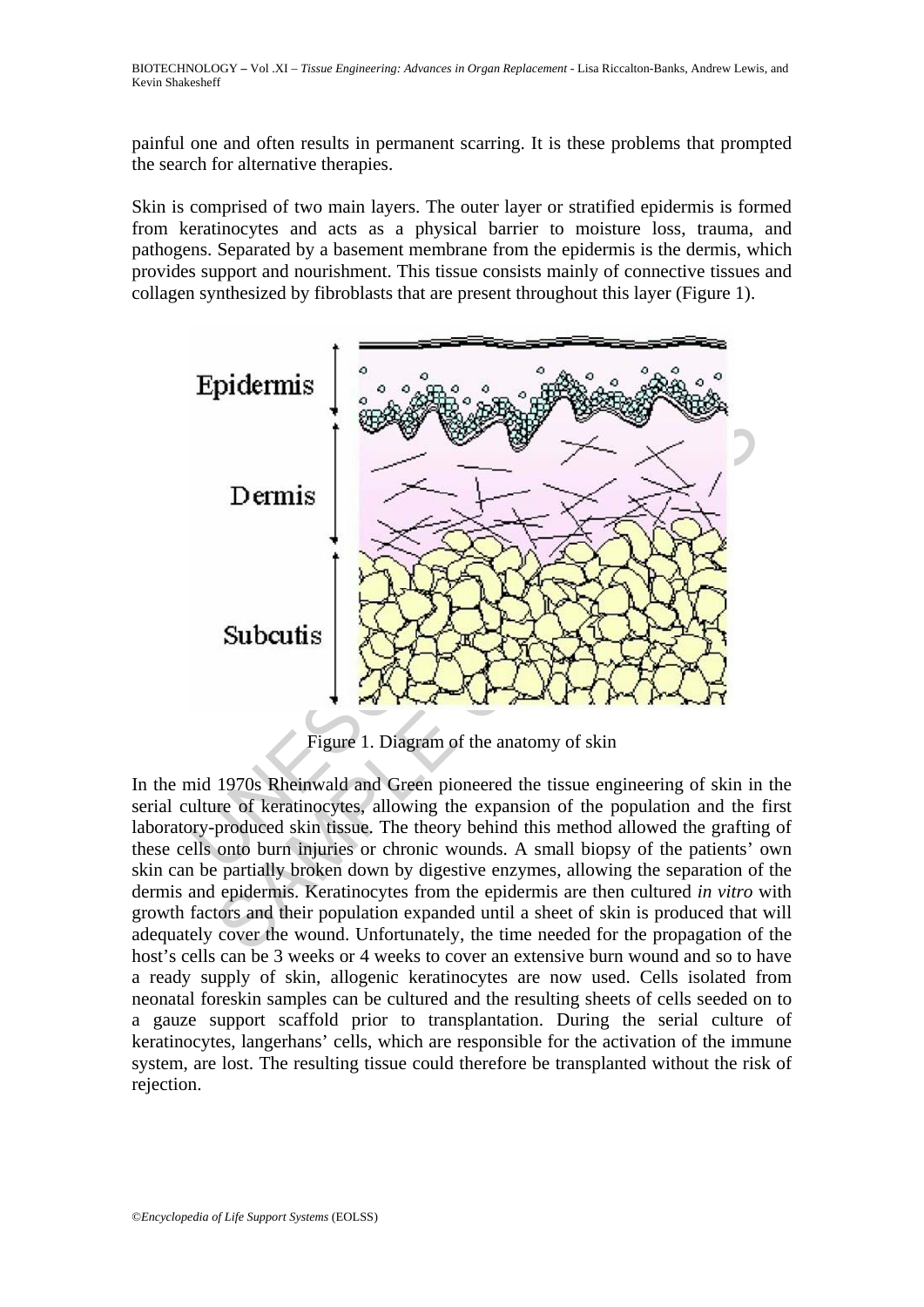painful one and often results in permanent scarring. It is these problems that prompted the search for alternative therapies.

Skin is comprised of two main layers. The outer layer or stratified epidermis is formed from keratinocytes and acts as a physical barrier to moisture loss, trauma, and pathogens. Separated by a basement membrane from the epidermis is the dermis, which provides support and nourishment. This tissue consists mainly of connective tissues and collagen synthesized by fibroblasts that are present throughout this layer (Figure 1).



Figure 1. Diagram of the anatomy of skin

In the mid 1970s Rheinwald and Green pioneered the tissue engineering of skin in the serial culture of keratinocytes, allowing the expansion of the population and the first laboratory-produced skin tissue. The theory behind this method allowed the grafting of these cells onto burn injuries or chronic wounds. A small biopsy of the patients' own skin can be partially broken down by digestive enzymes, allowing the separation of the dermis and epidermis. Keratinocytes from the epidermis are then cultured *in vitro* with growth factors and their population expanded until a sheet of skin is produced that will adequately cover the wound. Unfortunately, the time needed for the propagation of the host's cells can be 3 weeks or 4 weeks to cover an extensive burn wound and so to have a ready supply of skin, allogenic keratinocytes are now used. Cells isolated from neonatal foreskin samples can be cultured and the resulting sheets of cells seeded on to a gauze support scaffold prior to transplantation. During the serial culture of keratinocytes, langerhans' cells, which are responsible for the activation of the immune system, are lost. The resulting tissue could therefore be transplanted without the risk of rejection.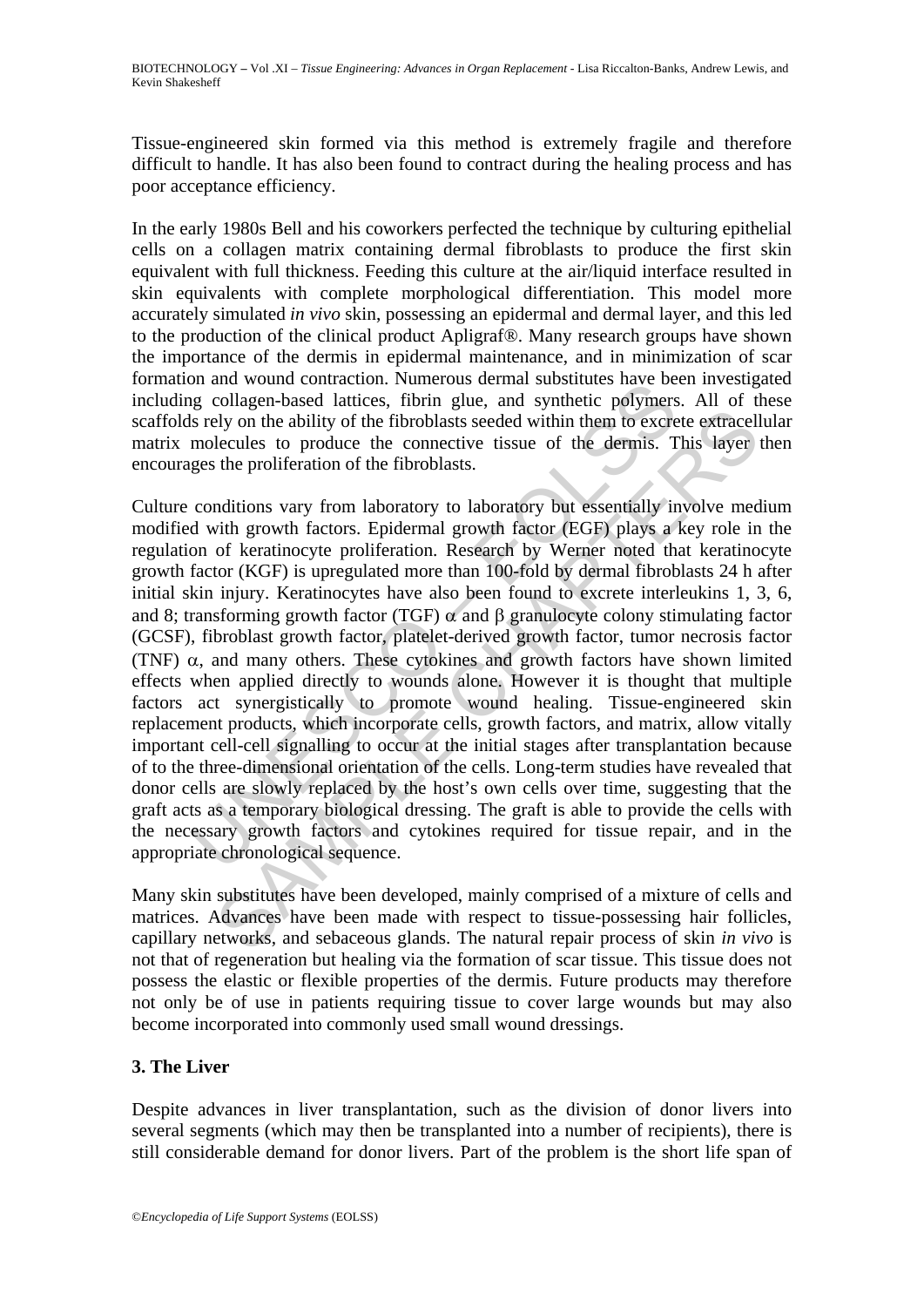Tissue-engineered skin formed via this method is extremely fragile and therefore difficult to handle. It has also been found to contract during the healing process and has poor acceptance efficiency.

In the early 1980s Bell and his coworkers perfected the technique by culturing epithelial cells on a collagen matrix containing dermal fibroblasts to produce the first skin equivalent with full thickness. Feeding this culture at the air/liquid interface resulted in skin equivalents with complete morphological differentiation. This model more accurately simulated *in vivo* skin, possessing an epidermal and dermal layer, and this led to the production of the clinical product Apligraf®. Many research groups have shown the importance of the dermis in epidermal maintenance, and in minimization of scar formation and wound contraction. Numerous dermal substitutes have been investigated including collagen-based lattices, fibrin glue, and synthetic polymers. All of these scaffolds rely on the ability of the fibroblasts seeded within them to excrete extracellular matrix molecules to produce the connective tissue of the dermis. This layer then encourages the proliferation of the fibroblasts.

on an would contact<br>on. there dies, the mission section is a substant substant of the gly collagen-based lattices, fibrin glue, and synthetic polymers<br>is rely on the ability of the fibroblasts seeded within them to excree Elly on the ability of the fibroblasts seeded within them to excrete extracellecules to produce the connective tissue of the dermis. This layer the proliferation of the fibroblasts seeded within them to excrete extracelle Culture conditions vary from laboratory to laboratory but essentially involve medium modified with growth factors. Epidermal growth factor (EGF) plays a key role in the regulation of keratinocyte proliferation. Research by Werner noted that keratinocyte growth factor (KGF) is upregulated more than 100-fold by dermal fibroblasts 24 h after initial skin injury. Keratinocytes have also been found to excrete interleukins 1, 3, 6, and 8; transforming growth factor (TGF)  $\alpha$  and  $\beta$  granulocyte colony stimulating factor (GCSF), fibroblast growth factor, platelet-derived growth factor, tumor necrosis factor (TNF)  $\alpha$ , and many others. These cytokines and growth factors have shown limited effects when applied directly to wounds alone. However it is thought that multiple factors act synergistically to promote wound healing. Tissue-engineered skin replacement products, which incorporate cells, growth factors, and matrix, allow vitally important cell-cell signalling to occur at the initial stages after transplantation because of to the three-dimensional orientation of the cells. Long-term studies have revealed that donor cells are slowly replaced by the host's own cells over time, suggesting that the graft acts as a temporary biological dressing. The graft is able to provide the cells with the necessary growth factors and cytokines required for tissue repair, and in the appropriate chronological sequence.

Many skin substitutes have been developed, mainly comprised of a mixture of cells and matrices. Advances have been made with respect to tissue-possessing hair follicles, capillary networks, and sebaceous glands. The natural repair process of skin *in vivo* is not that of regeneration but healing via the formation of scar tissue. This tissue does not possess the elastic or flexible properties of the dermis. Future products may therefore not only be of use in patients requiring tissue to cover large wounds but may also become incorporated into commonly used small wound dressings.

## **3. The Liver**

Despite advances in liver transplantation, such as the division of donor livers into several segments (which may then be transplanted into a number of recipients), there is still considerable demand for donor livers. Part of the problem is the short life span of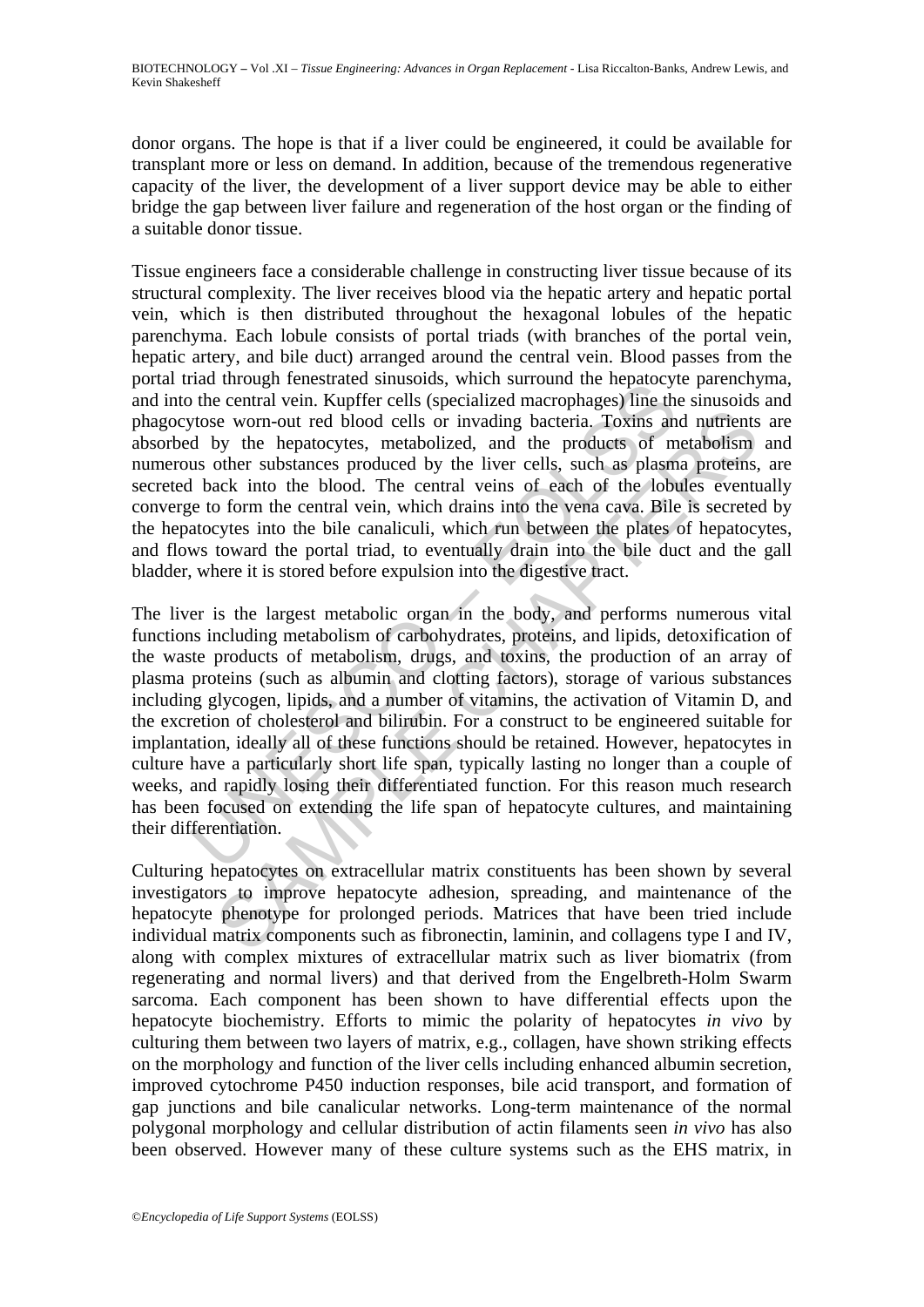donor organs. The hope is that if a liver could be engineered, it could be available for transplant more or less on demand. In addition, because of the tremendous regenerative capacity of the liver, the development of a liver support device may be able to either bridge the gap between liver failure and regeneration of the host organ or the finding of a suitable donor tissue.

Tissue engineers face a considerable challenge in constructing liver tissue because of its structural complexity. The liver receives blood via the hepatic artery and hepatic portal vein, which is then distributed throughout the hexagonal lobules of the hepatic parenchyma. Each lobule consists of portal triads (with branches of the portal vein, hepatic artery, and bile duct) arranged around the central vein. Blood passes from the portal triad through fenestrated sinusoids, which surround the hepatocyte parenchyma, and into the central vein. Kupffer cells (specialized macrophages) line the sinusoids and phagocytose worn-out red blood cells or invading bacteria. Toxins and nutrients are absorbed by the hepatocytes, metabolized, and the products of metabolism and numerous other substances produced by the liver cells, such as plasma proteins, are secreted back into the blood. The central veins of each of the lobules eventually converge to form the central vein, which drains into the vena cava. Bile is secreted by the hepatocytes into the bile canaliculi, which run between the plates of hepatocytes, and flows toward the portal triad, to eventually drain into the bile duct and the gall bladder, where it is stored before expulsion into the digestive tract.

and unougu mensatate suitabolis, winn suitorial marrology interpatively the central vein. Kupffer cells (specialized macrophages) line the products of mus other substances produced by the liver cells, such as plasm d by th is worn-out red blood cells or invading bacteria. Toxins and nutrients<br>be worn-out red blood cells or invading bacteria. Toxins and nutrients<br>other substances produced by the liver cells, such as plasma proteins,<br>ack into The liver is the largest metabolic organ in the body, and performs numerous vital functions including metabolism of carbohydrates, proteins, and lipids, detoxification of the waste products of metabolism, drugs, and toxins, the production of an array of plasma proteins (such as albumin and clotting factors), storage of various substances including glycogen, lipids, and a number of vitamins, the activation of Vitamin D, and the excretion of cholesterol and bilirubin. For a construct to be engineered suitable for implantation, ideally all of these functions should be retained. However, hepatocytes in culture have a particularly short life span, typically lasting no longer than a couple of weeks, and rapidly losing their differentiated function. For this reason much research has been focused on extending the life span of hepatocyte cultures, and maintaining their differentiation.

Culturing hepatocytes on extracellular matrix constituents has been shown by several investigators to improve hepatocyte adhesion, spreading, and maintenance of the hepatocyte phenotype for prolonged periods. Matrices that have been tried include individual matrix components such as fibronectin, laminin, and collagens type I and IV, along with complex mixtures of extracellular matrix such as liver biomatrix (from regenerating and normal livers) and that derived from the Engelbreth-Holm Swarm sarcoma. Each component has been shown to have differential effects upon the hepatocyte biochemistry. Efforts to mimic the polarity of hepatocytes *in vivo* by culturing them between two layers of matrix, e.g., collagen, have shown striking effects on the morphology and function of the liver cells including enhanced albumin secretion, improved cytochrome P450 induction responses, bile acid transport, and formation of gap junctions and bile canalicular networks. Long-term maintenance of the normal polygonal morphology and cellular distribution of actin filaments seen *in vivo* has also been observed. However many of these culture systems such as the EHS matrix, in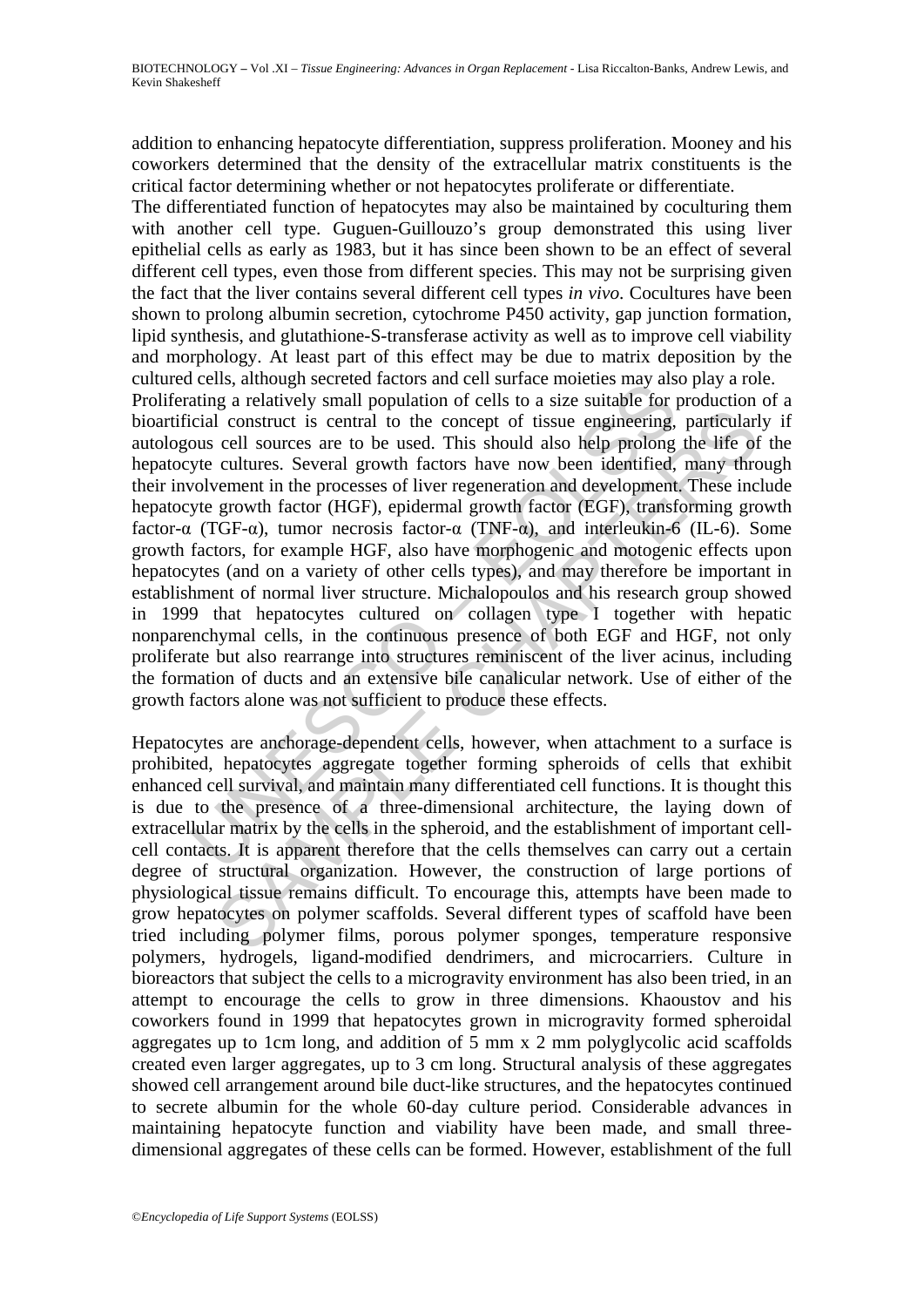addition to enhancing hepatocyte differentiation, suppress proliferation. Mooney and his coworkers determined that the density of the extracellular matrix constituents is the critical factor determining whether or not hepatocytes proliferate or differentiate.

Text, annough secreted ractors and cent surate mometes may also<br>taing a relatively small population of cells to a size suitable for pricial construct is central to the concept of tissue engineering,<br>ous cell sources are to I construct is central to the concept of tissue engineering, particular<br>cell sources are to be used. This should also help prolong the life of<br>cultures. Several growth factors have now been identified, many three<br>incernent The differentiated function of hepatocytes may also be maintained by coculturing them with another cell type. Guguen-Guillouzo's group demonstrated this using liver epithelial cells as early as 1983, but it has since been shown to be an effect of several different cell types, even those from different species. This may not be surprising given the fact that the liver contains several different cell types *in vivo*. Cocultures have been shown to prolong albumin secretion, cytochrome P450 activity, gap junction formation, lipid synthesis, and glutathione-S-transferase activity as well as to improve cell viability and morphology. At least part of this effect may be due to matrix deposition by the cultured cells, although secreted factors and cell surface moieties may also play a role. Proliferating a relatively small population of cells to a size suitable for production of a bioartificial construct is central to the concept of tissue engineering, particularly if autologous cell sources are to be used. This should also help prolong the life of the hepatocyte cultures. Several growth factors have now been identified, many through their involvement in the processes of liver regeneration and development. These include hepatocyte growth factor (HGF), epidermal growth factor (EGF), transforming growth factor- $\alpha$  (TGF- $\alpha$ ), tumor necrosis factor- $\alpha$  (TNF- $\alpha$ ), and interleukin-6 (IL-6). Some growth factors, for example HGF, also have morphogenic and motogenic effects upon hepatocytes (and on a variety of other cells types), and may therefore be important in establishment of normal liver structure. Michalopoulos and his research group showed in 1999 that hepatocytes cultured on collagen type I together with hepatic nonparenchymal cells, in the continuous presence of both EGF and HGF, not only proliferate but also rearrange into structures reminiscent of the liver acinus, including the formation of ducts and an extensive bile canalicular network. Use of either of the growth factors alone was not sufficient to produce these effects.

Hepatocytes are anchorage-dependent cells, however, when attachment to a surface is prohibited, hepatocytes aggregate together forming spheroids of cells that exhibit enhanced cell survival, and maintain many differentiated cell functions. It is thought this is due to the presence of a three-dimensional architecture, the laying down of extracellular matrix by the cells in the spheroid, and the establishment of important cellcell contacts. It is apparent therefore that the cells themselves can carry out a certain degree of structural organization. However, the construction of large portions of physiological tissue remains difficult. To encourage this, attempts have been made to grow hepatocytes on polymer scaffolds. Several different types of scaffold have been tried including polymer films, porous polymer sponges, temperature responsive polymers, hydrogels, ligand-modified dendrimers, and microcarriers. Culture in bioreactors that subject the cells to a microgravity environment has also been tried, in an attempt to encourage the cells to grow in three dimensions. Khaoustov and his coworkers found in 1999 that hepatocytes grown in microgravity formed spheroidal aggregates up to 1cm long, and addition of 5 mm x 2 mm polyglycolic acid scaffolds created even larger aggregates, up to 3 cm long. Structural analysis of these aggregates showed cell arrangement around bile duct-like structures, and the hepatocytes continued to secrete albumin for the whole 60-day culture period. Considerable advances in maintaining hepatocyte function and viability have been made, and small threedimensional aggregates of these cells can be formed. However, establishment of the full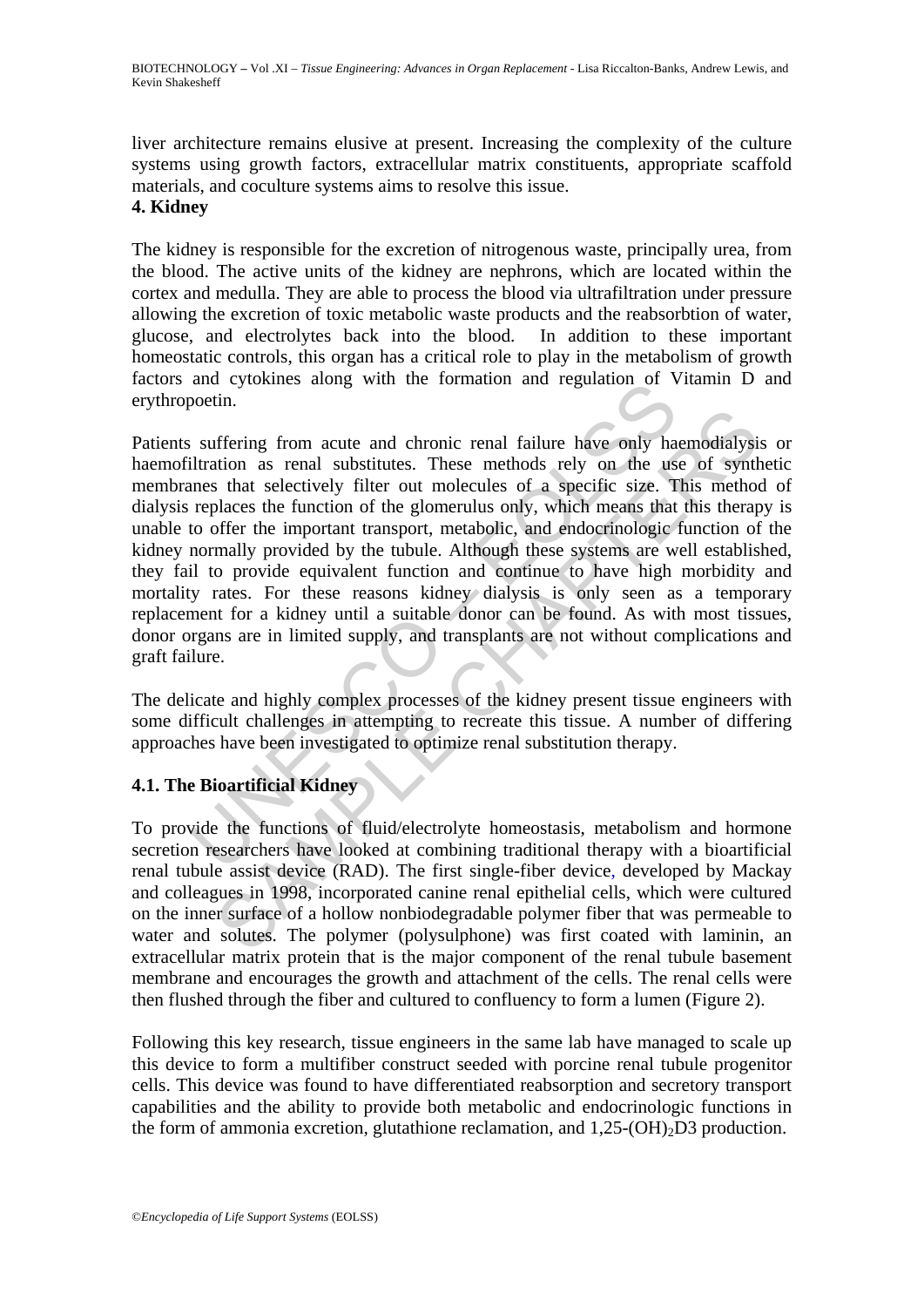liver architecture remains elusive at present. Increasing the complexity of the culture systems using growth factors, extracellular matrix constituents, appropriate scaffold materials, and coculture systems aims to resolve this issue.

## **4. Kidney**

The kidney is responsible for the excretion of nitrogenous waste, principally urea, from the blood. The active units of the kidney are nephrons, which are located within the cortex and medulla. They are able to process the blood via ultrafiltration under pressure allowing the excretion of toxic metabolic waste products and the reabsorbtion of water, glucose, and electrolytes back into the blood. In addition to these important homeostatic controls, this organ has a critical role to play in the metabolism of growth factors and cytokines along with the formation and regulation of Vitamin D and erythropoetin.

and cylokines along whil the formation and regulation of volocin.<br>
Sootin.<br>
Intration as renal substitutes. These methods rely on the uss<br>
intration as renal substitutes. These methods rely on the uss<br>
replaces the functio The main state and chronic renal failure have only haemodialysified in the same studies and substitutes. These methods rely on the use of synths that selectively filter out molecules of a specific size. This method<br>places Patients suffering from acute and chronic renal failure have only haemodialysis or haemofiltration as renal substitutes. These methods rely on the use of synthetic membranes that selectively filter out molecules of a specific size. This method of dialysis replaces the function of the glomerulus only, which means that this therapy is unable to offer the important transport, metabolic, and endocrinologic function of the kidney normally provided by the tubule. Although these systems are well established, they fail to provide equivalent function and continue to have high morbidity and mortality rates. For these reasons kidney dialysis is only seen as a temporary replacement for a kidney until a suitable donor can be found. As with most tissues, donor organs are in limited supply, and transplants are not without complications and graft failure.

The delicate and highly complex processes of the kidney present tissue engineers with some difficult challenges in attempting to recreate this tissue. A number of differing approaches have been investigated to optimize renal substitution therapy.

## **4.1. The Bioartificial Kidney**

To provide the functions of fluid/electrolyte homeostasis, metabolism and hormone secretion researchers have looked at combining traditional therapy with a bioartificial renal tubule assist device (RAD). The first single-fiber device, developed by Mackay and colleagues in 1998, incorporated canine renal epithelial cells, which were cultured on the inner surface of a hollow nonbiodegradable polymer fiber that was permeable to water and solutes. The polymer (polysulphone) was first coated with laminin, an extracellular matrix protein that is the major component of the renal tubule basement membrane and encourages the growth and attachment of the cells. The renal cells were then flushed through the fiber and cultured to confluency to form a lumen (Figure 2).

Following this key research, tissue engineers in the same lab have managed to scale up this device to form a multifiber construct seeded with porcine renal tubule progenitor cells. This device was found to have differentiated reabsorption and secretory transport capabilities and the ability to provide both metabolic and endocrinologic functions in the form of ammonia excretion, glutathione reclamation, and  $1,25\text{-}(OH)_2\text{D}3$  production.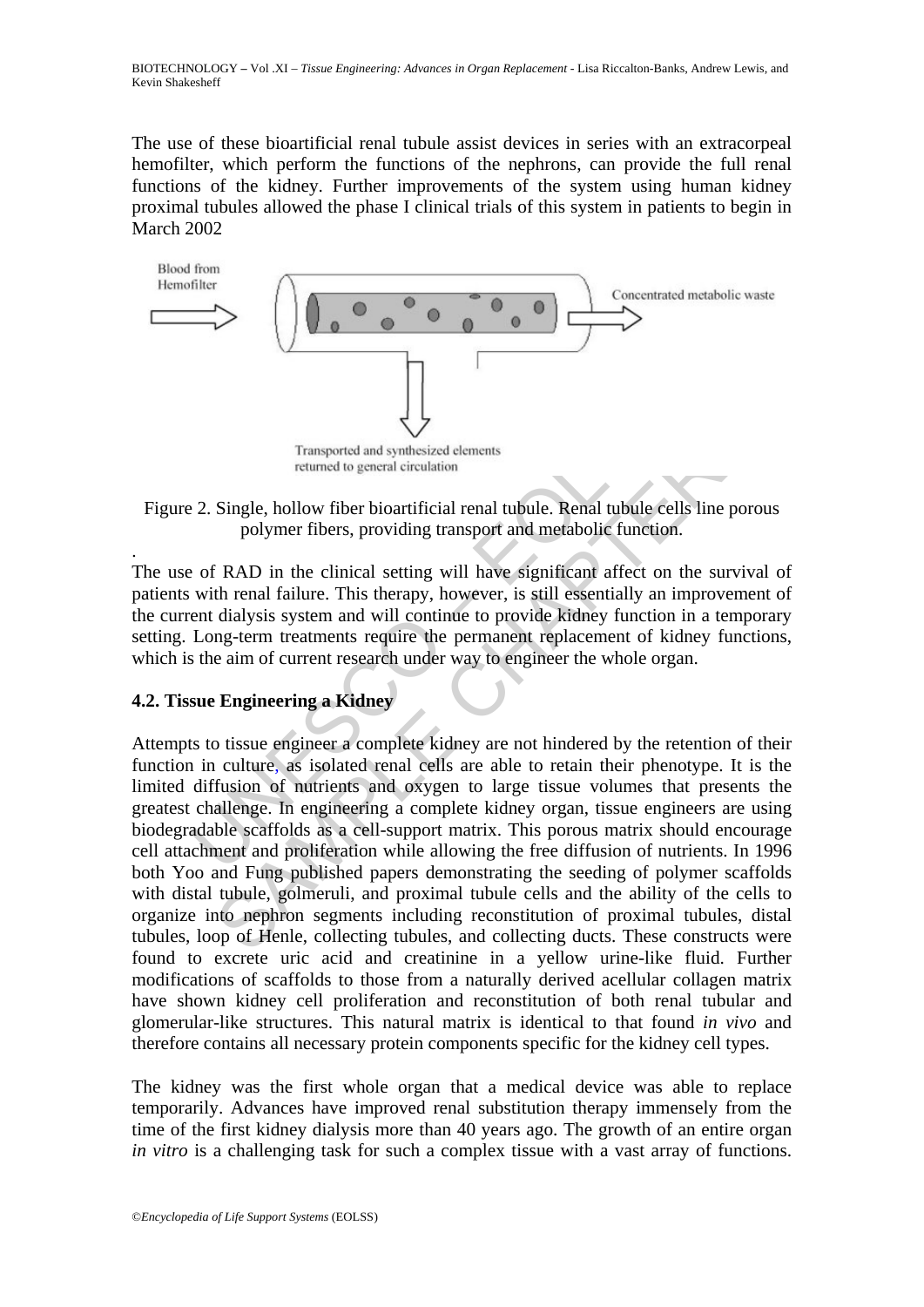BIOTECHNOLOGY **–** Vol .XI – *Tissue Engineering: Advances in Organ Replacement* - Lisa Riccalton-Banks, Andrew Lewis, and Kevin Shakesheff

The use of these bioartificial renal tubule assist devices in series with an extracorpeal hemofilter, which perform the functions of the nephrons, can provide the full renal functions of the kidney. Further improvements of the system using human kidney proximal tubules allowed the phase I clinical trials of this system in patients to begin in March 2002



Figure 2. Single, hollow fiber bioartificial renal tubule. Renal tubule cells line porous polymer fibers, providing transport and metabolic function.

The use of RAD in the clinical setting will have significant affect on the survival of patients with renal failure. This therapy, however, is still essentially an improvement of the current dialysis system and will continue to provide kidney function in a temporary setting. Long-term treatments require the permanent replacement of kidney functions, which is the aim of current research under way to engineer the whole organ.

## **4.2. Tissue Engineering a Kidney**

.

Transported and synthesized elements<br>
2. Single, hollow fiber bioartificial renal tubule. Renal tubule cel<br>
polymer fibers, providing transport and metabolic function<br>
2. Of RAD in the clinical setting will have significan Transported and synthesized elements<br>
Single, hollow fiber bioartificial renal tubule. Renal tubule cells line porc<br>
polymer fibers, providing transport and metabolic function.<br>
Single, hollow fiber bioartificial renal tub Attempts to tissue engineer a complete kidney are not hindered by the retention of their function in culture, as isolated renal cells are able to retain their phenotype. It is the limited diffusion of nutrients and oxygen to large tissue volumes that presents the greatest challenge. In engineering a complete kidney organ, tissue engineers are using biodegradable scaffolds as a cell-support matrix. This porous matrix should encourage cell attachment and proliferation while allowing the free diffusion of nutrients. In 1996 both Yoo and Fung published papers demonstrating the seeding of polymer scaffolds with distal tubule, golmeruli, and proximal tubule cells and the ability of the cells to organize into nephron segments including reconstitution of proximal tubules, distal tubules, loop of Henle, collecting tubules, and collecting ducts. These constructs were found to excrete uric acid and creatinine in a yellow urine-like fluid. Further modifications of scaffolds to those from a naturally derived acellular collagen matrix have shown kidney cell proliferation and reconstitution of both renal tubular and glomerular-like structures. This natural matrix is identical to that found *in vivo* and therefore contains all necessary protein components specific for the kidney cell types.

The kidney was the first whole organ that a medical device was able to replace temporarily. Advances have improved renal substitution therapy immensely from the time of the first kidney dialysis more than 40 years ago. The growth of an entire organ *in vitro* is a challenging task for such a complex tissue with a vast array of functions.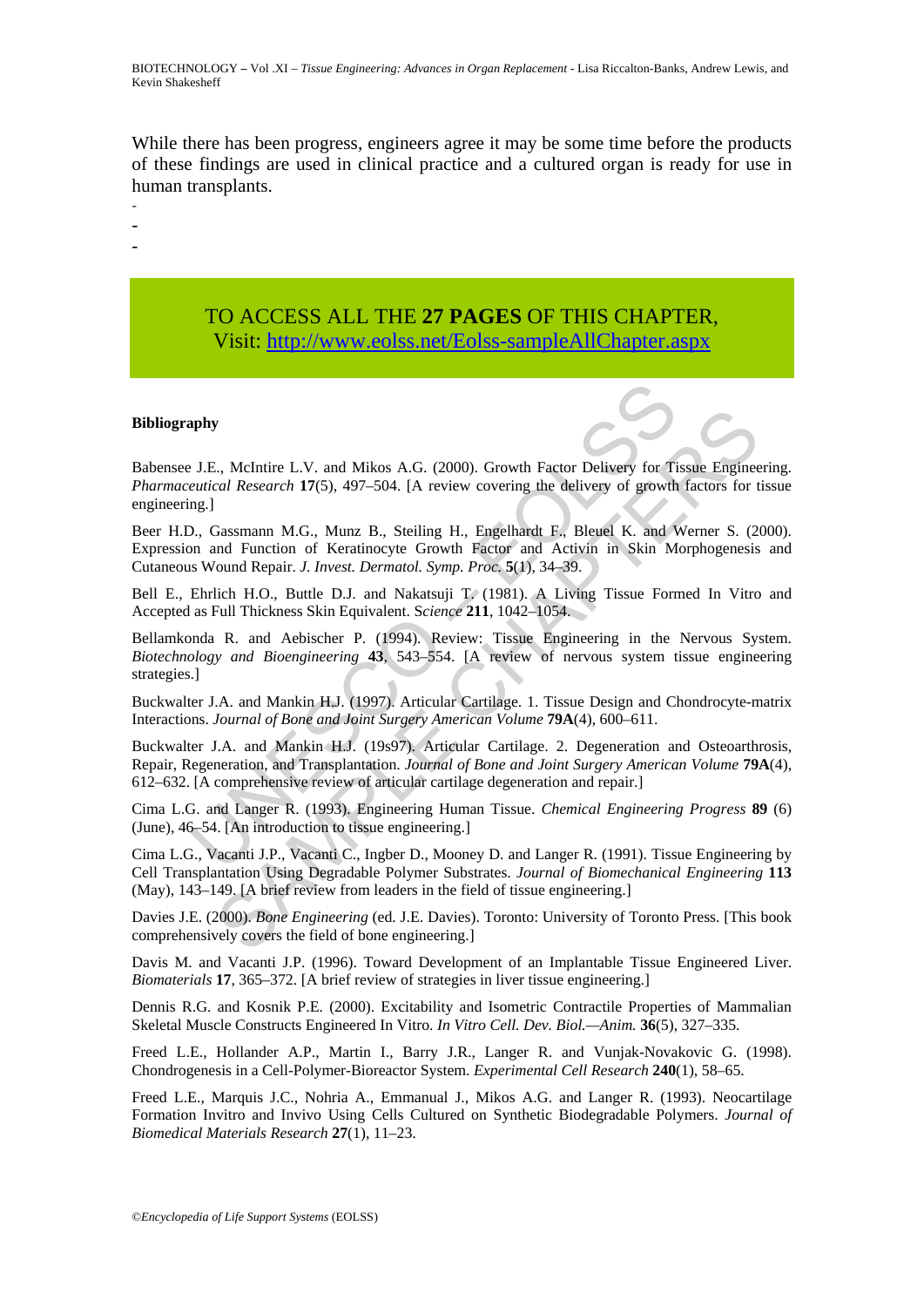While there has been progress, engineers agree it may be some time before the products of these findings are used in clinical practice and a cultured organ is ready for use in human transplants.

-

-

-

## TO ACCESS ALL THE **27 PAGES** OF THIS CHAPTER, Visit: [http://www.eolss.net/Eolss-sampleAllChapter.aspx](https://www.eolss.net/ebooklib/sc_cart.aspx?File=E6-58-11-03)

#### **Bibliography**

**apply**<br>
1. J.E., McIntire L.V. and Mikos A.G. (2000). Growth Factor Delivery for Ti<br>
2. *Butical Research* 17(5), 497–504. [A review covering the delivery of growth<br>
12., Gassmann M.G., Munz B., Steiling H., Engelhardt F. s., Melntire L.V. and Mikos A.G. (2000). Growth Factor Delivery for Tissue Engineeral Research 17(5), 497-504. [A review covering the delivery of growth factors for the cal Research 17(5), 497-504. [A review covering the Babensee J.E., McIntire L.V. and Mikos A.G. (2000). Growth Factor Delivery for Tissue Engineering. *Pharmaceutical Research* **17**(5), 497–504. [A review covering the delivery of growth factors for tissue engineering.]

Beer H.D., Gassmann M.G., Munz B., Steiling H., Engelhardt F., Bleuel K. and Werner S. (2000). Expression and Function of Keratinocyte Growth Factor and Activin in Skin Morphogenesis and Cutaneous Wound Repair. *J. Invest. Dermatol. Symp. Proc.* **5**(1), 34–39.

Bell E., Ehrlich H.O., Buttle D.J. and Nakatsuji T. (1981). A Living Tissue Formed In Vitro and Accepted as Full Thickness Skin Equivalent. S*cience* **211**, 1042–1054.

Bellamkonda R. and Aebischer P. (1994). Review: Tissue Engineering in the Nervous System. *Biotechnology and Bioengineering* **43**, 543–554. [A review of nervous system tissue engineering strategies.]

Buckwalter J.A. and Mankin H.J. (1997). Articular Cartilage. 1. Tissue Design and Chondrocyte-matrix Interactions. *Journal of Bone and Joint Surgery American Volume* **79A**(4), 600–611.

Buckwalter J.A. and Mankin H.J. (19s97). Articular Cartilage. 2. Degeneration and Osteoarthrosis, Repair, Regeneration, and Transplantation. *Journal of Bone and Joint Surgery American Volume* **79A**(4), 612–632. [A comprehensive review of articular cartilage degeneration and repair.]

Cima L.G. and Langer R. (1993). Engineering Human Tissue. *Chemical Engineering Progress* **89** (6) (June), 46–54. [An introduction to tissue engineering.]

Cima L.G., Vacanti J.P., Vacanti C., Ingber D., Mooney D. and Langer R. (1991). Tissue Engineering by Cell Transplantation Using Degradable Polymer Substrates. *Journal of Biomechanical Engineering* **113**  (May), 143–149. [A brief review from leaders in the field of tissue engineering.]

Davies J.E. (2000). *Bone Engineering* (ed. J.E. Davies). Toronto: University of Toronto Press. [This book comprehensively covers the field of bone engineering.]

Davis M. and Vacanti J.P. (1996). Toward Development of an Implantable Tissue Engineered Liver. *Biomaterials* **17**, 365–372. [A brief review of strategies in liver tissue engineering.]

Dennis R.G. and Kosnik P.E. (2000). Excitability and Isometric Contractile Properties of Mammalian Skeletal Muscle Constructs Engineered In Vitro. *In Vitro Cell. Dev. Biol.—Anim.* **36**(5), 327–335.

Freed L.E., Hollander A.P., Martin I., Barry J.R., Langer R. and Vunjak-Novakovic G. (1998). Chondrogenesis in a Cell-Polymer-Bioreactor System. *Experimental Cell Research* **240**(1), 58–65.

Freed L.E., Marquis J.C., Nohria A., Emmanual J., Mikos A.G. and Langer R. (1993). Neocartilage Formation Invitro and Invivo Using Cells Cultured on Synthetic Biodegradable Polymers. *Journal of Biomedical Materials Research* **27**(1), 11–23.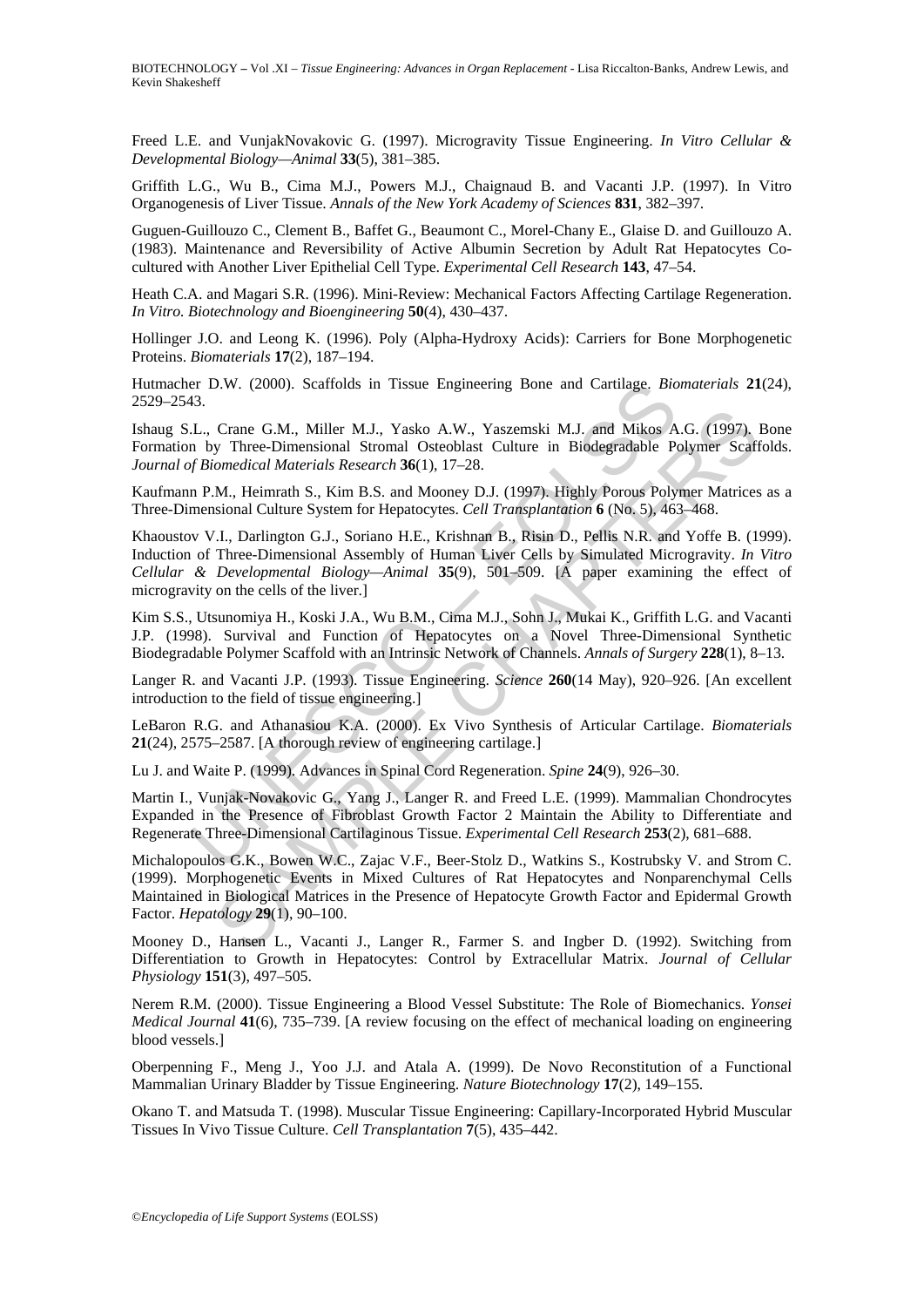BIOTECHNOLOGY **–** Vol .XI – *Tissue Engineering: Advances in Organ Replacement* - Lisa Riccalton-Banks, Andrew Lewis, and Kevin Shakesheff

Freed L.E. and VunjakNovakovic G. (1997). Microgravity Tissue Engineering. *In Vitro Cellular & Developmental Biology—Animal* **33**(5), 381–385.

Griffith L.G., Wu B., Cima M.J., Powers M.J., Chaignaud B. and Vacanti J.P. (1997). In Vitro Organogenesis of Liver Tissue. *Annals of the New York Academy of Sciences* **831**, 382–397.

Guguen-Guillouzo C., Clement B., Baffet G., Beaumont C., Morel-Chany E., Glaise D. and Guillouzo A. (1983). Maintenance and Reversibility of Active Albumin Secretion by Adult Rat Hepatocytes Cocultured with Another Liver Epithelial Cell Type. *Experimental Cell Research* **143**, 47–54.

Heath C.A. and Magari S.R. (1996). Mini-Review: Mechanical Factors Affecting Cartilage Regeneration. *In Vitro. Biotechnology and Bioengineering* **50**(4), 430–437.

Hollinger J.O. and Leong K. (1996). Poly (Alpha-Hydroxy Acids): Carriers for Bone Morphogenetic Proteins. *Biomaterials* **17**(2), 187–194.

Hutmacher D.W. (2000). Scaffolds in Tissue Engineering Bone and Cartilage. *Biomaterials* **21**(24), 2529–2543.

Ishaug S.L., Crane G.M., Miller M.J., Yasko A.W., Yaszemski M.J. and Mikos A.G. (1997). Bone Formation by Three-Dimensional Stromal Osteoblast Culture in Biodegradable Polymer Scaffolds. *Journal of Biomedical Materials Research* **36**(1), 17–28.

Kaufmann P.M., Heimrath S., Kim B.S. and Mooney D.J. (1997). Highly Porous Polymer Matrices as a Three-Dimensional Culture System for Hepatocytes. *Cell Transplantation* **6** (No. 5), 463–468.

F. D.W. (2000). Scaffolds in Tissue Engineering Bone and Cartilage, *Bio*<br>13. L., Crane G.M., Miller M.J., Yasko A.W., Yaszemski M.J. and Mikos A.<br>I., Crane G.M., Miller M.J., Yasko A.W., Yaszemski M.J. and Mikos A<br>for pri Crane G.M., Miller M.J., Yasko A.W., Yaszemski M.J. and Mikos A.G. (1997).<br>
y Three-Dimensional Stronal Osteoblast Culture in Biodegradable Polymer Scaff<br>
omedical Materials Research **36**(1), 17–28.<br>
M., Heimath S., Kim B. Khaoustov V.I., Darlington G.J., Soriano H.E., Krishnan B., Risin D., Pellis N.R. and Yoffe B. (1999). Induction of Three-Dimensional Assembly of Human Liver Cells by Simulated Microgravity. *In Vitro Cellular & Developmental Biology—Animal* **35**(9), 501–509. [A paper examining the effect of microgravity on the cells of the liver.]

Kim S.S., Utsunomiya H., Koski J.A., Wu B.M., Cima M.J., Sohn J., Mukai K., Griffith L.G. and Vacanti J.P. (1998). Survival and Function of Hepatocytes on a Novel Three-Dimensional Synthetic Biodegradable Polymer Scaffold with an Intrinsic Network of Channels. *Annals of Surgery* **228**(1), 8–13.

Langer R. and Vacanti J.P. (1993). Tissue Engineering. *Science* **260**(14 May), 920–926. [An excellent introduction to the field of tissue engineering.]

LeBaron R.G. and Athanasiou K.A. (2000). Ex Vivo Synthesis of Articular Cartilage. *Biomaterials* **21**(24), 2575–2587. [A thorough review of engineering cartilage.]

Lu J. and Waite P. (1999). Advances in Spinal Cord Regeneration. *Spine* **24**(9), 926–30.

Martin I., Vunjak-Novakovic G., Yang J., Langer R. and Freed L.E. (1999). Mammalian Chondrocytes Expanded in the Presence of Fibroblast Growth Factor 2 Maintain the Ability to Differentiate and Regenerate Three-Dimensional Cartilaginous Tissue. *Experimental Cell Research* **253**(2), 681–688.

Michalopoulos G.K., Bowen W.C., Zajac V.F., Beer-Stolz D., Watkins S., Kostrubsky V. and Strom C. (1999). Morphogenetic Events in Mixed Cultures of Rat Hepatocytes and Nonparenchymal Cells Maintained in Biological Matrices in the Presence of Hepatocyte Growth Factor and Epidermal Growth Factor. *Hepatology* **29**(1), 90–100.

Mooney D., Hansen L., Vacanti J., Langer R., Farmer S. and Ingber D. (1992). Switching from Differentiation to Growth in Hepatocytes: Control by Extracellular Matrix. *Journal of Cellular Physiology* **151**(3), 497–505.

Nerem R.M. (2000). Tissue Engineering a Blood Vessel Substitute: The Role of Biomechanics. *Yonsei Medical Journal* **41**(6), 735–739. [A review focusing on the effect of mechanical loading on engineering blood vessels.]

Oberpenning F., Meng J., Yoo J.J. and Atala A. (1999). De Novo Reconstitution of a Functional Mammalian Urinary Bladder by Tissue Engineering. *Nature Biotechnology* **17**(2), 149–155.

Okano T. and Matsuda T. (1998). Muscular Tissue Engineering: Capillary-Incorporated Hybrid Muscular Tissues In Vivo Tissue Culture. *Cell Transplantation* **7**(5), 435–442.